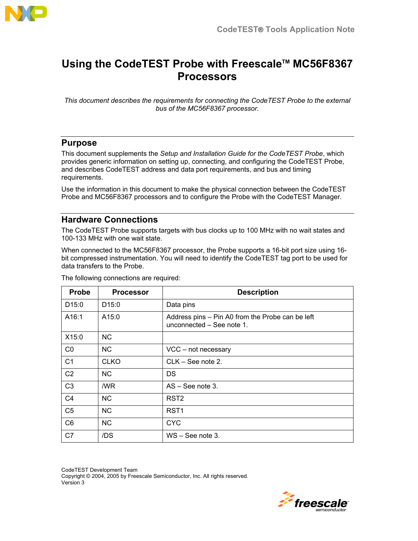

# **Using the CodeTEST Probe with Freescale™ MC56F8367 Processors**

*This document describes the requirements for connecting the CodeTEST Probe to the external bus of the MC56F8367 processor.* 

# **Purpose**

This document supplements the *Setup and Installation Guide for the CodeTEST Probe*, which provides generic information on setting up, connecting, and configuring the CodeTEST Probe, and describes CodeTEST address and data port requirements, and bus and timing requirements.

Use the information in this document to make the physical connection between the CodeTEST Probe and MC56F8367 processors and to configure the Probe with the CodeTEST Manager.

# **Hardware Connections**

The CodeTEST Probe supports targets with bus clocks up to 100 MHz with no wait states and 100-133 MHz with one wait state.

When connected to the MC56F8367 processor, the Probe supports a 16-bit port size using 16 bit compressed instrumentation. You will need to identify the CodeTEST tag port to be used for data transfers to the Probe.

| Probe             | <b>Processor</b>  | <b>Description</b>                                                            |
|-------------------|-------------------|-------------------------------------------------------------------------------|
| D <sub>15:0</sub> | D <sub>15:0</sub> | Data pins                                                                     |
| A16:1             | A15:0             | Address pins - Pin A0 from the Probe can be left<br>unconnected - See note 1. |
| X15:0             | <b>NC</b>         |                                                                               |
| $_{\rm CO}$       | <b>NC</b>         | VCC - not necessary                                                           |
| C <sub>1</sub>    | <b>CLKO</b>       | $CLK - See note 2.$                                                           |
| C <sub>2</sub>    | NC.               | DS                                                                            |
| C <sub>3</sub>    | /WR               | $AS - See note 3.$                                                            |
| C <sub>4</sub>    | <b>NC</b>         | RST <sub>2</sub>                                                              |
| C <sub>5</sub>    | <b>NC</b>         | RST <sub>1</sub>                                                              |
| C <sub>6</sub>    | <b>NC</b>         | <b>CYC</b>                                                                    |
| C <sub>7</sub>    | /DS               | $WS - See$ note 3.                                                            |

The following connections are required:

CodeTEST Development Team Copyright © 2004, 2005 by Freescale Semiconductor, Inc. All rights reserved. Version 3

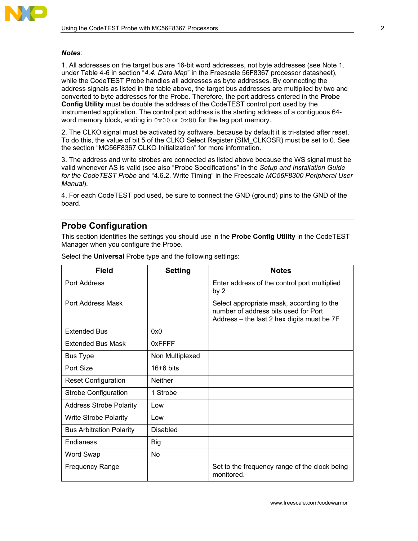

#### *Notes:*

1. All addresses on the target bus are 16-bit word addresses, not byte addresses (see Note 1. under Table 4-6 in section <sup>*4.4. Data Map*" in the Freescale 56F8367 processor datasheet),</sup> while the CodeTEST Probe handles all addresses as byte addresses. By connecting the address signals as listed in the table above, the target bus addresses are multiplied by two and converted to byte addresses for the Probe. Therefore, the port address entered in the **Probe Config Utility** must be double the address of the CodeTEST control port used by the instrumented application. The control port address is the starting address of a contiguous 64 word memory block, ending in  $0 \times 00$  or  $0 \times 80$  for the tag port memory.

2. The CLKO signal must be activated by software, because by default it is tri-stated after reset. To do this, the value of bit 5 of the CLKO Select Register (SIM\_CLKOSR) must be set to 0. See the section "MC56F8367 CLKO Initialization" for more information.

3. The address and write strobes are connected as listed above because the WS signal must be valid whenever AS is valid (see also "Probe Specifications" in the *Setup and Installation Guide* for the CodeTEST Probe and "4.6.2. Write Timing" in the Freescale *MC56F8300 Peripheral User Manual*).

4. For each CodeTEST pod used, be sure to connect the GND (ground) pins to the GND of the board.

### **Probe Configuration**

This section identifies the settings you should use in the **Probe Config Utility** in the CodeTEST Manager when you configure the Probe.

| Field                           | <b>Setting</b>  | <b>Notes</b>                                                                                                                    |
|---------------------------------|-----------------|---------------------------------------------------------------------------------------------------------------------------------|
| Port Address                    |                 | Enter address of the control port multiplied<br>by 2                                                                            |
| Port Address Mask               |                 | Select appropriate mask, according to the<br>number of address bits used for Port<br>Address - the last 2 hex digits must be 7F |
| <b>Extended Bus</b>             | 0x0             |                                                                                                                                 |
| <b>Extended Bus Mask</b>        | 0xFFFF          |                                                                                                                                 |
| <b>Bus Type</b>                 | Non Multiplexed |                                                                                                                                 |
| Port Size                       | $16+6$ bits     |                                                                                                                                 |
| <b>Reset Configuration</b>      | <b>Neither</b>  |                                                                                                                                 |
| <b>Strobe Configuration</b>     | 1 Strobe        |                                                                                                                                 |
| <b>Address Strobe Polarity</b>  | Low             |                                                                                                                                 |
| <b>Write Strobe Polarity</b>    | Low             |                                                                                                                                 |
| <b>Bus Arbitration Polarity</b> | <b>Disabled</b> |                                                                                                                                 |
| Endianess                       | Big             |                                                                                                                                 |
| Word Swap                       | No              |                                                                                                                                 |
| <b>Frequency Range</b>          |                 | Set to the frequency range of the clock being<br>monitored.                                                                     |

Select the **Universal** Probe type and the following settings: